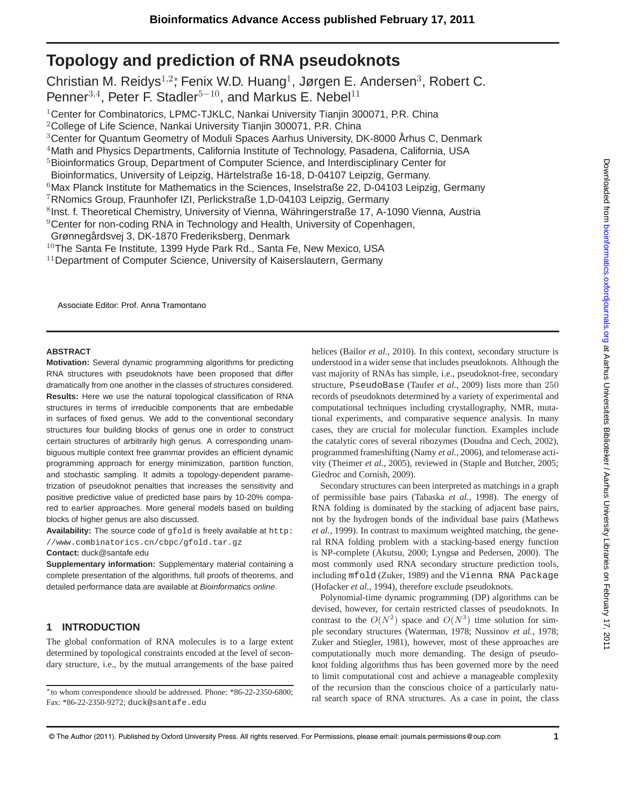# **Topology and prediction of RNA pseudoknots**

Christian M. Reidys<sup>1,2</sup>\*, Fenix W.D. Huang<sup>1</sup>, Jørgen E. Andersen<sup>3</sup>, Robert C. Penner<sup>3,4</sup>, Peter F. Stadler<sup>5–10</sup>, and Markus E. Nebel<sup>11</sup>

<sup>1</sup>Center for Combinatorics, LPMC-TJKLC, Nankai University Tianjin 300071, P.R. China

<sup>2</sup>College of Life Science, Nankai University Tianjin 300071, P.R. China

<sup>3</sup>Center for Quantum Geometry of Moduli Spaces Aarhus University, DK-8000 Århus C, Denmark

<sup>4</sup>Math and Physics Departments, California Institute of Technology, Pasadena, California, USA

<sup>5</sup>Bioinformatics Group, Department of Computer Science, and Interdisciplinary Center for

Bioinformatics, University of Leipzig, Härtelstraße 16-18, D-04107 Leipzig, Germany.

 $6$ Max Planck Institute for Mathematics in the Sciences, Inselstraße 22, D-04103 Leipzig, Germany

<sup>7</sup>RNomics Group, Fraunhofer IZI, Perlickstraße 1,D-04103 Leipzig, Germany

<sup>8</sup>Inst. f. Theoretical Chemistry, University of Vienna, Währingerstraße 17, A-1090 Vienna, Austria

<sup>9</sup>Center for non-coding RNA in Technology and Health, University of Copenhagen,

Grønnegårdsvej 3, DK-1870 Frederiksberg, Denmark

 $10$ The Santa Fe Institute, 1399 Hyde Park Rd., Santa Fe, New Mexico, USA

<sup>11</sup> Department of Computer Science, University of Kaiserslautern, Germany

Associate Editor: Prof. Anna Tramontano

## **ABSTRACT**

**Motivation:** Several dynamic programming algorithms for predicting RNA structures with pseudoknots have been proposed that differ dramatically from one another in the classes of structures considered. **Results:** Here we use the natural topological classification of RNA structures in terms of irreducible components that are embedable in surfaces of fixed genus. We add to the conventional secondary structures four building blocks of genus one in order to construct certain structures of arbitrarily high genus. A corresponding unambiguous multiple context free grammar provides an efficient dynamic programming approach for energy minimization, partition function, and stochastic sampling. It admits a topology-dependent parametrization of pseudoknot penalties that increases the sensitivity and positive predictive value of predicted base pairs by 10-20% compared to earlier approaches. More general models based on building blocks of higher genus are also discussed.

**Availability:** The source code of gfold is freely available at http:

//www.combinatorics.cn/cbpc/gfold.tar.gz

## **Contact:** duck@santafe.edu

**Supplementary information:** Supplementary material containing a complete presentation of the algorithms, full proofs of theorems, and detailed performance data are available at Bioinformatics online.

## **1 INTRODUCTION**

The global conformation of RNA molecules is to a large extent determined by topological constraints encoded at the level of secondary structure, i.e., by the mutual arrangements of the base paired

<sup>∗</sup>to whom correspondence should be addressed. Phone: \*86-22-2350-6800; Fax: \*86-22-2350-9272; duck@santafe.edu

helices (Bailor *et al.*, 2010). In this context, secondary structure is understood in a wider sense that includes pseudoknots. Although the vast majority of RNAs has simple, i.e., pseudoknot-free, secondary structure, PseudoBase (Taufer *et al.*, 2009) lists more than 250 records of pseudoknots determined by a variety of experimental and computational techniques including crystallography, NMR, mutational experiments, and comparative sequence analysis. In many cases, they are crucial for molecular function. Examples include the catalytic cores of several ribozymes (Doudna and Cech, 2002), programmed frameshifting (Namy *et al.*, 2006), and telomerase activity (Theimer *et al.*, 2005), reviewed in (Staple and Butcher, 2005; Giedroc and Cornish, 2009).

Secondary structures can been interpreted as matchings in a graph of permissible base pairs (Tabaska *et al.*, 1998). The energy of RNA folding is dominated by the stacking of adjacent base pairs, not by the hydrogen bonds of the individual base pairs (Mathews *et al.*, 1999). In contrast to maximum weighted matching, the general RNA folding problem with a stacking-based energy function is NP-complete (Akutsu, 2000; Lyngsø and Pedersen, 2000). The most commonly used RNA secondary structure prediction tools, including mfold (Zuker, 1989) and the Vienna RNA Package (Hofacker *et al.*, 1994), therefore exclude pseudoknots.

Polynomial-time dynamic programming (DP) algorithms can be devised, however, for certain restricted classes of pseudoknots. In contrast to the  $O(N^2)$  space and  $O(N^3)$  time solution for simple secondary structures (Waterman, 1978; Nussinov *et al.*, 1978; Zuker and Stiegler, 1981), however, most of these approaches are computationally much more demanding. The design of pseudoknot folding algorithms thus has been governed more by the need to limit computational cost and achieve a manageable complexity of the recursion than the conscious choice of a particularly natural search space of RNA structures. As a case in point, the class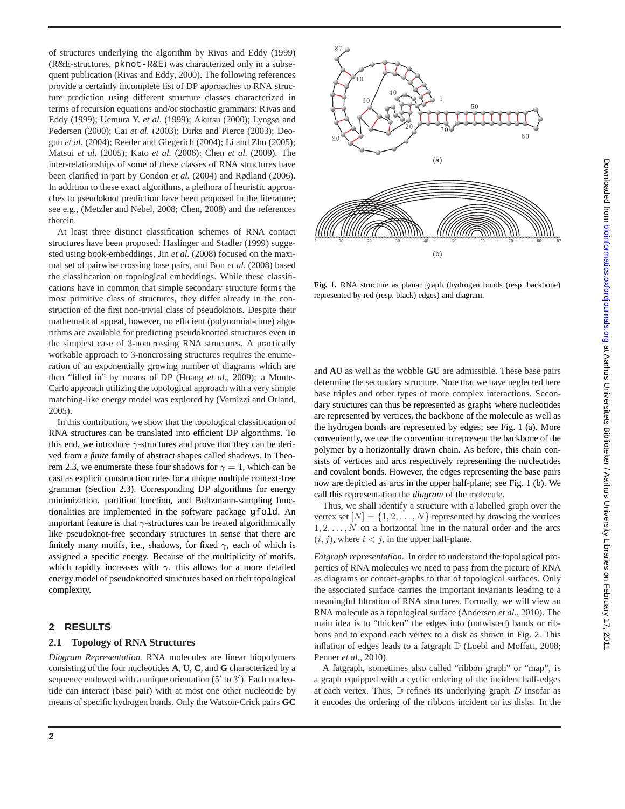of structures underlying the algorithm by Rivas and Eddy (1999) (R&E-structures, pknot-R&E) was characterized only in a subsequent publication (Rivas and Eddy, 2000). The following references provide a certainly incomplete list of DP approaches to RNA structure prediction using different structure classes characterized in terms of recursion equations and/or stochastic grammars: Rivas and Eddy (1999); Uemura Y. *et al.* (1999); Akutsu (2000); Lyngsø and Pedersen (2000); Cai *et al.* (2003); Dirks and Pierce (2003); Deogun *et al.* (2004); Reeder and Giegerich (2004); Li and Zhu (2005); Matsui *et al.* (2005); Kato *et al.* (2006); Chen *et al.* (2009). The inter-relationships of some of these classes of RNA structures have been clarified in part by Condon *et al.* (2004) and Rødland (2006). In addition to these exact algorithms, a plethora of heuristic approaches to pseudoknot prediction have been proposed in the literature; see e.g., (Metzler and Nebel, 2008; Chen, 2008) and the references therein.

At least three distinct classification schemes of RNA contact structures have been proposed: Haslinger and Stadler (1999) suggested using book-embeddings, Jin *et al.* (2008) focused on the maximal set of pairwise crossing base pairs, and Bon *et al.* (2008) based the classification on topological embeddings. While these classifications have in common that simple secondary structure forms the most primitive class of structures, they differ already in the construction of the first non-trivial class of pseudoknots. Despite their mathematical appeal, however, no efficient (polynomial-time) algorithms are available for predicting pseudoknotted structures even in the simplest case of 3-noncrossing RNA structures. A practically workable approach to 3-noncrossing structures requires the enumeration of an exponentially growing number of diagrams which are then "filled in" by means of DP (Huang *et al.*, 2009); a Monte-Carlo approach utilizing the topological approach with a very simple matching-like energy model was explored by (Vernizzi and Orland, 2005).

In this contribution, we show that the topological classification of RNA structures can be translated into efficient DP algorithms. To this end, we introduce  $\gamma$ -structures and prove that they can be derived from a *finite* family of abstract shapes called shadows. In Theorem 2.3, we enumerate these four shadows for  $\gamma = 1$ , which can be cast as explicit construction rules for a unique multiple context-free grammar (Section 2.3). Corresponding DP algorithms for energy minimization, partition function, and Boltzmann-sampling functionalities are implemented in the software package gfold. An important feature is that  $\gamma$ -structures can be treated algorithmically like pseudoknot-free secondary structures in sense that there are finitely many motifs, i.e., shadows, for fixed  $\gamma$ , each of which is assigned a specific energy. Because of the multiplicity of motifs, which rapidly increases with  $\gamma$ , this allows for a more detailed energy model of pseudoknotted structures based on their topological complexity.

## **2 RESULTS**

#### **2.1 Topology of RNA Structures**

*Diagram Representation.* RNA molecules are linear biopolymers consisting of the four nucleotides **A**, **U**, **C**, and **G** characterized by a sequence endowed with a unique orientation  $(5'$  to  $3')$ . Each nucleotide can interact (base pair) with at most one other nucleotide by means of specific hydrogen bonds. Only the Watson-Crick pairs **GC**



**Fig. 1.** RNA structure as planar graph (hydrogen bonds (resp. backbone) represented by red (resp. black) edges) and diagram.

and **AU** as well as the wobble **GU** are admissible. These base pairs determine the secondary structure. Note that we have neglected here base triples and other types of more complex interactions. Secondary structures can thus be represented as graphs where nucleotides are represented by vertices, the backbone of the molecule as well as the hydrogen bonds are represented by edges; see Fig. 1 (a). More conveniently, we use the convention to represent the backbone of the polymer by a horizontally drawn chain. As before, this chain consists of vertices and arcs respectively representing the nucleotides and covalent bonds. However, the edges representing the base pairs now are depicted as arcs in the upper half-plane; see Fig. 1 (b). We call this representation the *diagram* of the molecule.

Thus, we shall identify a structure with a labelled graph over the vertex set  $[N] = \{1, 2, \ldots, N\}$  represented by drawing the vertices  $1, 2, \ldots, N$  on a horizontal line in the natural order and the arcs  $(i, j)$ , where  $i < j$ , in the upper half-plane.

*Fatgraph representation.* In order to understand the topological properties of RNA molecules we need to pass from the picture of RNA as diagrams or contact-graphs to that of topological surfaces. Only the associated surface carries the important invariants leading to a meaningful filtration of RNA structures. Formally, we will view an RNA molecule as a topological surface (Andersen *et al.*, 2010). The main idea is to "thicken" the edges into (untwisted) bands or ribbons and to expand each vertex to a disk as shown in Fig. 2. This inflation of edges leads to a fatgraph  $D$  (Loebl and Moffatt, 2008; Penner *et al.*, 2010).

A fatgraph, sometimes also called "ribbon graph" or "map", is a graph equipped with a cyclic ordering of the incident half-edges at each vertex. Thus,  $D$  refines its underlying graph  $D$  insofar as it encodes the ordering of the ribbons incident on its disks. In the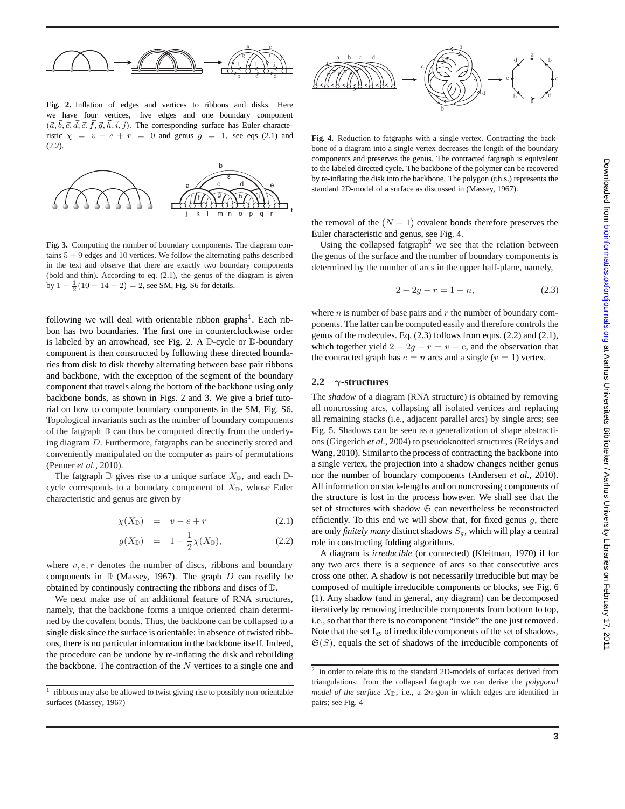

**Fig. 2.** Inflation of edges and vertices to ribbons and disks. Here we have four vertices, five edges and one boundary component  $({\vec a}, {\vec b}, {\vec c}, {\vec d}, {\vec e}, f, {\vec g}, h, i, j)$ . The corresponding surface has Euler characteristic  $\chi = v - e + r = 0$  and genus  $g = 1$ , see eqs (2.1) and  $(2.2)$ .



**Fig. 3.** Computing the number of boundary components. The diagram contains  $5 + 9$  edges and 10 vertices. We follow the alternating paths described in the text and observe that there are exactly two boundary components (bold and thin). According to eq. (2.1), the genus of the diagram is given by  $1 - \frac{1}{2}(10 - 14 + 2) = 2$ , see SM, Fig. S6 for details.

following we will deal with orientable ribbon graphs<sup>1</sup>. Each ribbon has two boundaries. The first one in counterclockwise order is labeled by an arrowhead, see Fig. 2. A D-cycle or D-boundary component is then constructed by following these directed boundaries from disk to disk thereby alternating between base pair ribbons and backbone, with the exception of the segment of the boundary component that travels along the bottom of the backbone using only backbone bonds, as shown in Figs. 2 and 3. We give a brief tutorial on how to compute boundary components in the SM, Fig. S6. Topological invariants such as the number of boundary components of the fatgraph D can thus be computed directly from the underlying diagram D. Furthermore, fatgraphs can be succinctly stored and conveniently manipulated on the computer as pairs of permutations (Penner *et al.*, 2010).

The fatgraph  $\mathbb D$  gives rise to a unique surface  $X_{\mathbb D}$ , and each  $\mathbb D$ cycle corresponds to a boundary component of  $X_{\mathbb{D}}$ , whose Euler characteristic and genus are given by

$$
\chi(X_{\mathbb{D}}) = v - e + r \tag{2.1}
$$

$$
g(X_{\mathbb{D}}) = 1 - \frac{1}{2}\chi(X_{\mathbb{D}}), \qquad (2.2)
$$

where  $v, e, r$  denotes the number of discs, ribbons and boundary components in  $D$  (Massey, 1967). The graph  $D$  can readily be obtained by continously contracting the ribbons and discs of D.

We next make use of an additional feature of RNA structures, namely, that the backbone forms a unique oriented chain determined by the covalent bonds. Thus, the backbone can be collapsed to a single disk since the surface is orientable: in absence of twisted ribbons, there is no particular information in the backbone itself. Indeed, the procedure can be undone by re-inflating the disk and rebuilding the backbone. The contraction of the  $N$  vertices to a single one and



**Fig. 4.** Reduction to fatgraphs with a single vertex. Contracting the backbone of a diagram into a single vertex decreases the length of the boundary components and preserves the genus. The contracted fatgraph is equivalent to the labeled directed cycle. The backbone of the polymer can be recovered by re-inflating the disk into the backbone. The polygon (r.h.s.) represents the standard 2D-model of a surface as discussed in (Massey, 1967).

the removal of the  $(N - 1)$  covalent bonds therefore preserves the Euler characteristic and genus, see Fig. 4.

Using the collapsed fatgraph<sup>2</sup> we see that the relation between the genus of the surface and the number of boundary components is determined by the number of arcs in the upper half-plane, namely,

$$
2 - 2g - r = 1 - n,\t(2.3)
$$

where  $n$  is number of base pairs and  $r$  the number of boundary components. The latter can be computed easily and therefore controls the genus of the molecules. Eq. (2.3) follows from eqns. (2.2) and (2.1), which together yield  $2 - 2g - r = v - e$ , and the observation that the contracted graph has  $e = n$  arcs and a single  $(v = 1)$  vertex.

#### **2.2** γ**-structures**

The *shadow* of a diagram (RNA structure) is obtained by removing all noncrossing arcs, collapsing all isolated vertices and replacing all remaining stacks (i.e., adjacent parallel arcs) by single arcs; see Fig. 5. Shadows can be seen as a generalization of shape abstractions (Giegerich *et al.*, 2004) to pseudoknotted structures (Reidys and Wang, 2010). Similar to the process of contracting the backbone into a single vertex, the projection into a shadow changes neither genus nor the number of boundary components (Andersen *et al.*, 2010). All information on stack-lengths and on noncrossing components of the structure is lost in the process however. We shall see that the set of structures with shadow  $\mathfrak S$  can nevertheless be reconstructed efficiently. To this end we will show that, for fixed genus  $q$ , there are only *finitely many* distinct shadows  $S_q$ , which will play a central role in constructing folding algorithms.

A diagram is *irreducible* (or connected) (Kleitman, 1970) if for any two arcs there is a sequence of arcs so that consecutive arcs cross one other. A shadow is not necessarily irreducible but may be composed of multiple irreducible components or blocks, see Fig. 6 (1). Any shadow (and in general, any diagram) can be decomposed iteratively by removing irreducible components from bottom to top, i.e., so that that there is no component "inside" the one just removed. Note that the set  $I_{\mathfrak{S}}$  of irreducible components of the set of shadows,  $\mathfrak{S}(S)$ , equals the set of shadows of the irreducible components of

<sup>1</sup> ribbons may also be allowed to twist giving rise to possibly non-orientable surfaces (Massey, 1967)

<sup>&</sup>lt;sup>2</sup> in order to relate this to the standard 2D-models of surfaces derived from triangulations: from the collapsed fatgraph we can derive the *polygonal model of the surface*  $X_{\mathbb{D}}$ , i.e., a 2n-gon in which edges are identified in pairs; see Fig. 4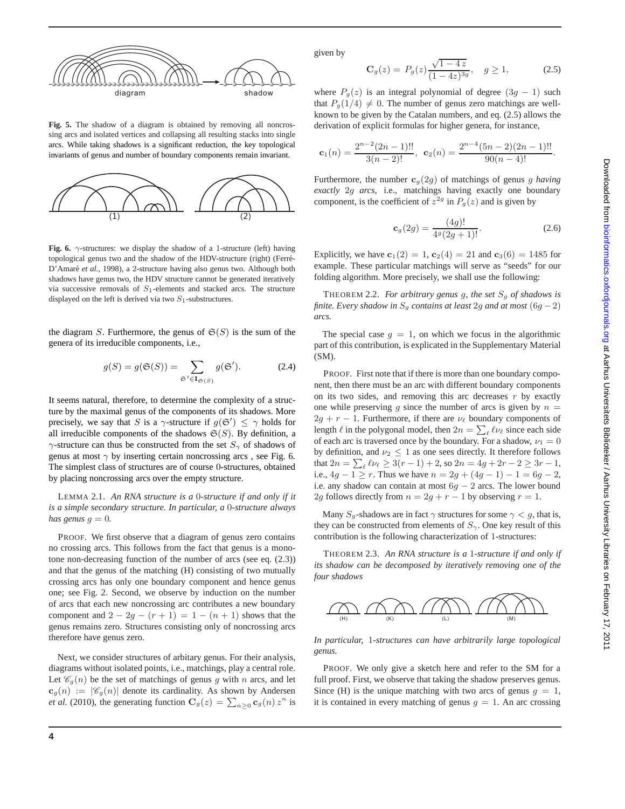

**Fig. 5.** The shadow of a diagram is obtained by removing all noncrossing arcs and isolated vertices and collapsing all resulting stacks into single arcs. While taking shadows is a significant reduction, the key topological invariants of genus and number of boundary components remain invariant.



**Fig. 6.**  $\gamma$ -structures: we display the shadow of a 1-structure (left) having topological genus two and the shadow of the HDV-structure (right) (Ferré-D'Amaré et al., 1998), a 2-structure having also genus two. Although both shadows have genus two, the HDV structure cannot be generated iteratively via successive removals of  $S_1$ -elements and stacked arcs. The structure displayed on the left is derived via two  $S_1$ -substructures.

the diagram S. Furthermore, the genus of  $\mathfrak{S}(S)$  is the sum of the genera of its irreducible components, i.e.,

$$
g(S) = g(\mathfrak{S}(S)) = \sum_{\mathfrak{S}' \in \mathbf{I}_{\mathfrak{S}(S)}} g(\mathfrak{S}').
$$
 (2.4)

It seems natural, therefore, to determine the complexity of a structure by the maximal genus of the components of its shadows. More precisely, we say that S is a  $\gamma$ -structure if  $g(\mathfrak{S}') \leq \gamma$  holds for all irreducible components of the shadows  $\mathfrak{S}(S)$ . By definition, a  $\gamma$ -structure can thus be constructed from the set  $S_{\gamma}$  of shadows of genus at most  $\gamma$  by inserting certain noncrossing arcs, see Fig. 6. The simplest class of structures are of course 0-structures, obtained by placing noncrossing arcs over the empty structure.

LEMMA 2.1. *An RNA structure is a* 0*-structure if and only if it is a simple secondary structure. In particular, a* 0*-structure always has genus*  $g = 0$ *.* 

PROOF. We first observe that a diagram of genus zero contains no crossing arcs. This follows from the fact that genus is a monotone non-decreasing function of the number of arcs (see eq. (2.3)) and that the genus of the matching (H) consisting of two mutually crossing arcs has only one boundary component and hence genus one; see Fig. 2. Second, we observe by induction on the number of arcs that each new noncrossing arc contributes a new boundary component and  $2 - 2g - (r + 1) = 1 - (n + 1)$  shows that the genus remains zero. Structures consisting only of noncrossing arcs therefore have genus zero.

Next, we consider structures of arbitary genus. For their analysis, diagrams without isolated points, i.e., matchings, play a central role. Let  $\mathcal{C}_q(n)$  be the set of matchings of genus g with n arcs, and let  $c_g(n) := |\mathscr{C}_g(n)|$  denote its cardinality. As shown by Andersen *et al.* (2010), the generating function  $\mathbf{C}_g(z) = \sum_{n \geq 0} \mathbf{c}_g(n) z^n$  is given by

$$
\mathbf{C}_g(z) = P_g(z) \frac{\sqrt{1 - 4z}}{(1 - 4z)^{3g}}, \quad g \ge 1,
$$
 (2.5)

where  $P_g(z)$  is an integral polynomial of degree  $(3g - 1)$  such that  $P_g(1/4) \neq 0$ . The number of genus zero matchings are wellknown to be given by the Catalan numbers, and eq. (2.5) allows the derivation of explicit formulas for higher genera, for instance,

$$
\mathbf{c}_1(n) = \frac{2^{n-2}(2n-1)!!}{3(n-2)!}, \ \mathbf{c}_2(n) = \frac{2^{n-4}(5n-2)(2n-1)!!}{90(n-4)!}.
$$

Furthermore, the number  $c_g(2g)$  of matchings of genus g *having exactly* 2g *arcs*, i.e., matchings having exactly one boundary component, is the coefficient of  $z^{2g}$  in  $P_g(z)$  and is given by

$$
\mathbf{c}_g(2g) = \frac{(4g)!}{4^g(2g+1)!}.\tag{2.6}
$$

Explicitly, we have  $c_1(2) = 1$ ,  $c_2(4) = 21$  and  $c_3(6) = 1485$  for example. These particular matchings will serve as "seeds" for our folding algorithm. More precisely, we shall use the following:

THEOREM 2.2. *For arbitrary genus g, the set*  $S_q$  *of shadows is finite. Every shadow in*  $S<sub>g</sub>$  *contains at least* 2g *and at most* (6g – 2) *arcs.*

The special case  $q = 1$ , on which we focus in the algorithmic part of this contribution, is explicated in the Supplementary Material  $(SM)$ .

PROOF. First note that if there is more than one boundary component, then there must be an arc with different boundary components on its two sides, and removing this arc decreases  $r$  by exactly one while preserving q since the number of arcs is given by  $n =$  $2g + r - 1$ . Furthermore, if there are  $\nu_{\ell}$  boundary components of length  $\ell$  in the polygonal model, then  $2n = \sum_{\ell} \ell \nu_{\ell}$  since each side of each arc is traversed once by the boundary. For a shadow,  $\nu_1 = 0$ by definition, and  $\nu_2 \leq 1$  as one sees directly. It therefore follows that  $2n = \sum_{\ell} \ell \nu_{\ell} \ge 3(r-1) + 2$ , so  $2n = 4g + 2r - 2 \ge 3r - 1$ , i.e.,  $4g - 1 \ge r$ . Thus we have  $n = 2g + (4g - 1) - 1 = 6g - 2$ , i.e. any shadow can contain at most  $6g - 2$  arcs. The lower bound 2g follows directly from  $n = 2g + r - 1$  by observing  $r = 1$ .

Many  $S_q$ -shadows are in fact  $\gamma$  structures for some  $\gamma < g$ , that is, they can be constructed from elements of  $S_{\gamma}$ . One key result of this contribution is the following characterization of 1-structures:

THEOREM 2.3. *An RNA structure is a* 1*-structure if and only if its shadow can be decomposed by iteratively removing one of the four shadows*



*In particular,* 1*-structures can have arbitrarily large topological genus.*

PROOF. We only give a sketch here and refer to the SM for a full proof. First, we observe that taking the shadow preserves genus. Since (H) is the unique matching with two arcs of genus  $q = 1$ , it is contained in every matching of genus  $g = 1$ . An arc crossing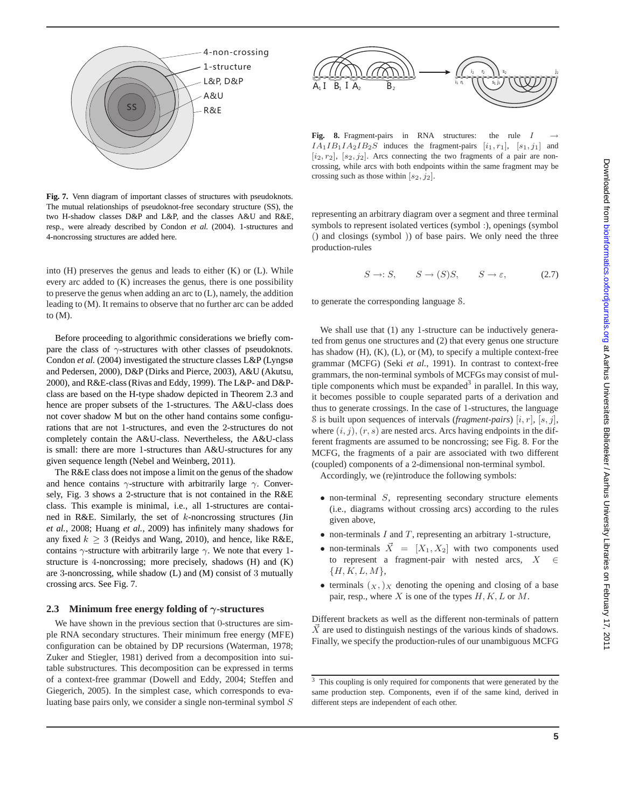

**Fig. 7.** Venn diagram of important classes of structures with pseudoknots. The mutual relationships of pseudoknot-free secondary structure (SS), the two H-shadow classes D&P and L&P, and the classes A&U and R&E, resp., were already described by Condon *et al.* (2004). 1-structures and 4-noncrossing structures are added here.

into  $(H)$  preserves the genus and leads to either  $(K)$  or  $(L)$ . While every arc added to (K) increases the genus, there is one possibility to preserve the genus when adding an arc to (L), namely, the addition leading to (M). It remains to observe that no further arc can be added to (M).

Before proceeding to algorithmic considerations we briefly compare the class of  $\gamma$ -structures with other classes of pseudoknots. Condon *et al.* (2004) investigated the structure classes L&P (Lyngsø and Pedersen, 2000), D&P (Dirks and Pierce, 2003), A&U (Akutsu, 2000), and R&E-class (Rivas and Eddy, 1999). The L&P- and D&Pclass are based on the H-type shadow depicted in Theorem 2.3 and hence are proper subsets of the 1-structures. The A&U-class does not cover shadow M but on the other hand contains some configurations that are not 1-structures, and even the 2-structures do not completely contain the A&U-class. Nevertheless, the A&U-class is small: there are more 1-structures than A&U-structures for any given sequence length (Nebel and Weinberg, 2011).

The R&E class does not impose a limit on the genus of the shadow and hence contains  $\gamma$ -structure with arbitrarily large  $\gamma$ . Conversely, Fig. 3 shows a 2-structure that is not contained in the R&E class. This example is minimal, i.e., all 1-structures are contained in R&E. Similarly, the set of  $k$ -noncrossing structures (Jin *et al.*, 2008; Huang *et al.*, 2009) has infinitely many shadows for any fixed  $k \geq 3$  (Reidys and Wang, 2010), and hence, like R&E, contains  $\gamma$ -structure with arbitrarily large  $\gamma$ . We note that every 1structure is 4-noncrossing; more precisely, shadows (H) and (K) are 3-noncrossing, while shadow (L) and (M) consist of 3 mutually crossing arcs. See Fig. 7.

#### **2.3 Minimum free energy folding of** γ**-structures**

We have shown in the previous section that 0-structures are simple RNA secondary structures. Their minimum free energy (MFE) configuration can be obtained by DP recursions (Waterman, 1978; Zuker and Stiegler, 1981) derived from a decomposition into suitable substructures. This decomposition can be expressed in terms of a context-free grammar (Dowell and Eddy, 2004; Steffen and Giegerich, 2005). In the simplest case, which corresponds to evaluating base pairs only, we consider a single non-terminal symbol S



Fig. 8. Fragment-pairs in RNA structures: the rule I  $IA<sub>1</sub>IB<sub>1</sub>IA<sub>2</sub>IB<sub>2</sub>S$  induces the fragment-pairs  $[i<sub>1</sub>, r<sub>1</sub>], [s<sub>1</sub>, j<sub>1</sub>]$  and  $[i_2, r_2]$ ,  $[s_2, j_2]$ . Arcs connecting the two fragments of a pair are noncrossing, while arcs with both endpoints within the same fragment may be crossing such as those within  $[s_2, j_2]$ .

representing an arbitrary diagram over a segment and three terminal symbols to represent isolated vertices (symbol :), openings (symbol () and closings (symbol )) of base pairs. We only need the three production-rules

$$
S \to :S, \qquad S \to (S)S, \qquad S \to \varepsilon, \tag{2.7}
$$

to generate the corresponding language S.

We shall use that (1) any 1-structure can be inductively generated from genus one structures and (2) that every genus one structure has shadow (H), (K), (L), or (M), to specify a multiple context-free grammar (MCFG) (Seki *et al.*, 1991). In contrast to context-free grammars, the non-terminal symbols of MCFGs may consist of multiple components which must be expanded<sup>3</sup> in parallel. In this way, it becomes possible to couple separated parts of a derivation and thus to generate crossings. In the case of 1-structures, the language S is built upon sequences of intervals (*fragment-pairs*) [i, r], [s, j], where  $(i, j)$ ,  $(r, s)$  are nested arcs. Arcs having endpoints in the different fragments are assumed to be noncrossing; see Fig. 8. For the MCFG, the fragments of a pair are associated with two different (coupled) components of a 2-dimensional non-terminal symbol.

Accordingly, we (re)introduce the following symbols:

- $\bullet$  non-terminal  $S$ , representing secondary structure elements (i.e., diagrams without crossing arcs) according to the rules given above,
- non-terminals  $I$  and  $T$ , representing an arbitrary 1-structure,
- non-terminals  $\vec{X} = [X_1, X_2]$  with two components used to represent a fragment-pair with nested arcs,  $X$  ${H, K, L, M}$
- terminals  $(x, )$  x denoting the opening and closing of a base pair, resp., where  $X$  is one of the types  $H, K, L$  or  $M$ .

Different brackets as well as the different non-terminals of pattern  $\vec{X}$  are used to distinguish nestings of the various kinds of shadows. Finally, we specify the production-rules of our unambiguous MCFG

<sup>3</sup> This coupling is only required for components that were generated by the same production step. Components, even if of the same kind, derived in different steps are independent of each other.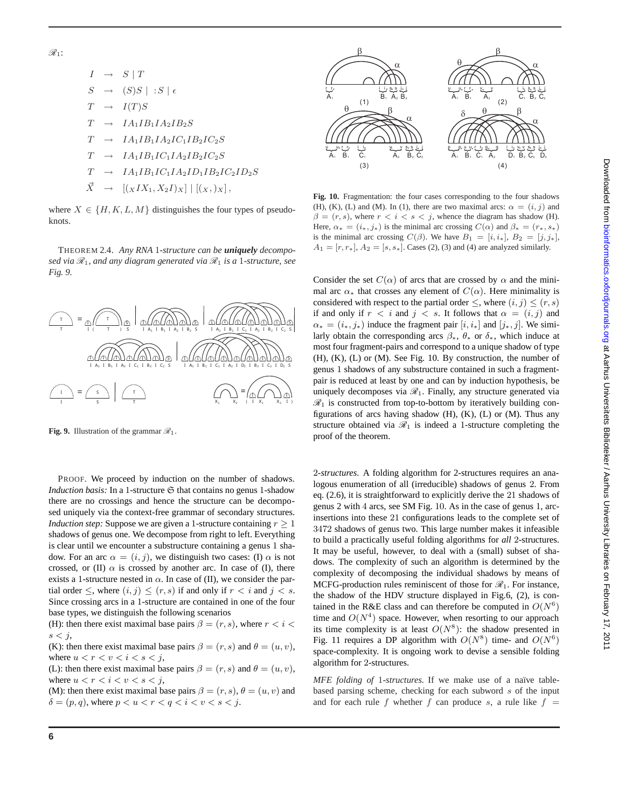$$
I \rightarrow S | T
$$
  
\n
$$
S \rightarrow (S)S | : S | \epsilon
$$
  
\n
$$
T \rightarrow I(T)S
$$
  
\n
$$
T \rightarrow I A_1 I B_1 I A_2 I B_2 S
$$
  
\n
$$
T \rightarrow I A_1 I B_1 I A_2 I C_1 I B_2 I C_2 S
$$
  
\n
$$
T \rightarrow I A_1 I B_1 I C_1 I A_2 I B_2 I C_2 S
$$
  
\n
$$
T \rightarrow I A_1 I B_1 I C_1 I A_2 I D_1 I B_2 I C_2 I D_2 S
$$
  
\n
$$
\vec{X} \rightarrow [(\chi I X_1, X_2 I)_X] | [(\chi, \chi_X)],
$$

where  $X \in \{H, K, L, M\}$  distinguishes the four types of pseudoknots.

THEOREM 2.4. *Any RNA* 1*-structure can be uniquely decomposed via*  $\mathcal{R}_1$ *, and any diagram generated via*  $\mathcal{R}_1$  *is a* 1-structure, see *Fig. 9.*



**Fig. 9.** Illustration of the grammar  $\mathcal{R}_1$ .

PROOF. We proceed by induction on the number of shadows. *Induction basis:* In a 1-structure  $\mathfrak S$  that contains no genus 1-shadow there are no crossings and hence the structure can be decomposed uniquely via the context-free grammar of secondary structures. *Induction step:* Suppose we are given a 1-structure containing  $r \geq 1$ shadows of genus one. We decompose from right to left. Everything is clear until we encounter a substructure containing a genus 1 shadow. For an arc  $\alpha = (i, j)$ , we distinguish two cases: (I)  $\alpha$  is not crossed, or (II)  $\alpha$  is crossed by another arc. In case of (I), there exists a 1-structure nested in  $\alpha$ . In case of (II), we consider the partial order  $\leq$ , where  $(i, j) \leq (r, s)$  if and only if  $r < i$  and  $j < s$ . Since crossing arcs in a 1-structure are contained in one of the four base types, we distinguish the following scenarios

(H): then there exist maximal base pairs  $\beta = (r, s)$ , where  $r < i <$  $s < j$ ,

(K): then there exist maximal base pairs  $\beta = (r, s)$  and  $\theta = (u, v)$ , where  $u < r < v < i < s < j$ ,

(L): then there exist maximal base pairs  $\beta = (r, s)$  and  $\theta = (u, v)$ , where  $u < r < i < v < s < j$ ,

(M): then there exist maximal base pairs  $\beta = (r, s), \theta = (u, v)$  and  $\delta = (p, q)$ , where  $p < u < r < q < i < v < s < j$ .



**Fig. 10.** Fragmentation: the four cases corresponding to the four shadows (H), (K), (L) and (M). In (1), there are two maximal arcs:  $\alpha = (i, j)$  and  $\beta = (r, s)$ , where  $r < i < s < j$ , whence the diagram has shadow (H). Here,  $\alpha_* = (i_*, j_*)$  is the minimal arc crossing  $C(\alpha)$  and  $\beta_* = (r_*, s_*)$ is the minimal arc crossing  $C(\beta)$ . We have  $B_1 = [i, i_*], B_2 = [j, j_*],$  $A_1 = [r, r_*], A_2 = [s, s_*].$  Cases (2), (3) and (4) are analyzed similarly.

Consider the set  $C(\alpha)$  of arcs that are crossed by  $\alpha$  and the minimal arc  $\alpha_*$  that crosses any element of  $C(\alpha)$ . Here minimality is considered with respect to the partial order  $\leq$ , where  $(i, j) \leq (r, s)$ if and only if  $r < i$  and  $j < s$ . It follows that  $\alpha = (i, j)$  and  $\alpha_* = (i_*, j_*)$  induce the fragment pair  $[i, i_*]$  and  $[j_*, j]$ . We similarly obtain the corresponding arcs  $\beta_*$ ,  $\theta_*$  or  $\delta_*$ , which induce at most four fragment-pairs and correspond to a unique shadow of type (H), (K), (L) or (M). See Fig. 10. By construction, the number of genus 1 shadows of any substructure contained in such a fragmentpair is reduced at least by one and can by induction hypothesis, be uniquely decomposes via  $\mathcal{R}_1$ . Finally, any structure generated via  $\mathcal{R}_1$  is constructed from top-to-bottom by iteratively building configurations of arcs having shadow  $(H)$ ,  $(K)$ ,  $(L)$  or  $(M)$ . Thus any structure obtained via  $\mathcal{R}_1$  is indeed a 1-structure completing the proof of the theorem.

2*-structures.* A folding algorithm for 2-structures requires an analogous enumeration of all (irreducible) shadows of genus 2. From eq. (2.6), it is straightforward to explicitly derive the 21 shadows of genus 2 with 4 arcs, see SM Fig. 10. As in the case of genus 1, arcinsertions into these 21 configurations leads to the complete set of 3472 shadows of genus two. This large number makes it infeasible to build a practically useful folding algorithms for *all* 2-structures. It may be useful, however, to deal with a (small) subset of shadows. The complexity of such an algorithm is determined by the complexity of decomposing the individual shadows by means of MCFG-production rules reminiscent of those for  $\mathcal{R}_1$ . For instance, the shadow of the HDV structure displayed in Fig.6, (2), is contained in the R&E class and can therefore be computed in  $O(N^6)$ time and  $O(N^4)$  space. However, when resorting to our approach its time complexity is at least  $O(N^8)$ : the shadow presented in Fig. 11 requires a DP algorithm with  $O(N^8)$  time- and  $O(N^6)$ space-complexity. It is ongoing work to devise a sensible folding algorithm for 2-structures.

*MFE folding of 1-structures*. If we make use of a naïve tablebased parsing scheme, checking for each subword  $s$  of the input and for each rule f whether f can produce s, a rule like  $f =$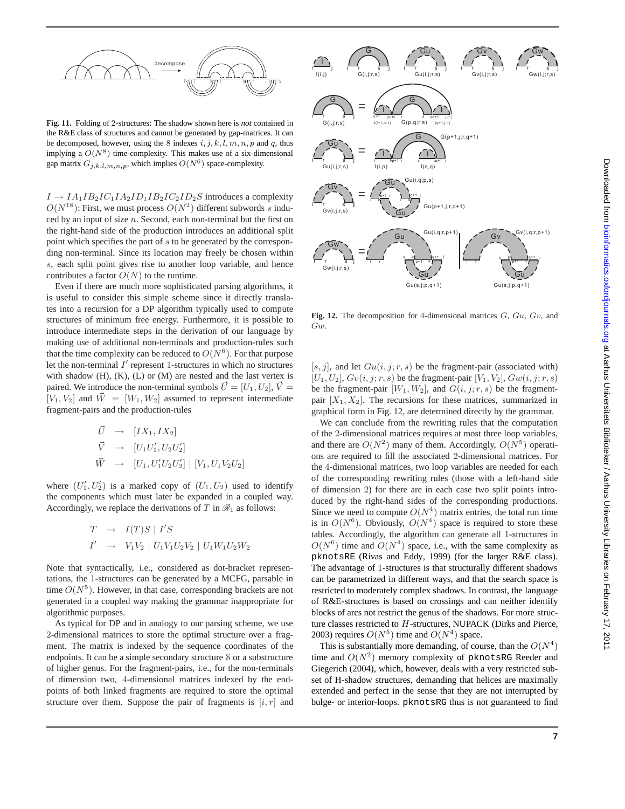

**Fig. 11.** Folding of 2-structures: The shadow shown here is *not* contained in the R&E class of structures and cannot be generated by gap-matrices. It can be decomposed, however, using the 8 indexes  $i, j, k, l, m, n, p$  and q, thus implying a  $O(N^8)$  time-complexity. This makes use of a six-dimensional gap matrix  $G_{j,k,l,m,n,p}$ , which implies  $O(N^6)$  space-complexity.

 $I \rightarrow IA_1IB_2IC_1IA_2ID_1IB_2IC_2ID_2S$  introduces a complexity  $O(N^{18})$ : First, we must process  $O(N^2)$  different subwords s induced by an input of size  $n$ . Second, each non-terminal but the first on the right-hand side of the production introduces an additional split point which specifies the part of s to be generated by the corresponding non-terminal. Since its location may freely be chosen within s, each split point gives rise to another loop variable, and hence contributes a factor  $O(N)$  to the runtime.

Even if there are much more sophisticated parsing algorithms, it is useful to consider this simple scheme since it directly translates into a recursion for a DP algorithm typically used to compute structures of minimum free energy. Furthermore, it is possible to introduce intermediate steps in the derivation of our language by making use of additional non-terminals and production-rules such that the time complexity can be reduced to  $O(N^6)$ . For that purpose let the non-terminal  $I'$  represent 1-structures in which no structures with shadow  $(H)$ ,  $(K)$ ,  $(L)$  or  $(M)$  are nested and the last vertex is paired. We introduce the non-terminal symbols  $\vec{U} = [U_1, U_2], \vec{V} =$  $[V_1, V_2]$  and  $\vec{W} = [W_1, W_2]$  assumed to represent intermediate fragment-pairs and the production-rules

$$
\begin{aligned}\n\vec{U} &\to [IX_1, IX_2] \\
\vec{V} &\to [U_1 U_1', U_2 U_2'] \\
\vec{W} &\to [U_1, U_1' U_2 U_2'] \mid [V_1, U_1 V_2 U_2]\n\end{aligned}
$$

where  $(U'_1, U'_2)$  is a marked copy of  $(U_1, U_2)$  used to identify the components which must later be expanded in a coupled way. Accordingly, we replace the derivations of  $T$  in  $\mathcal{R}_1$  as follows:

$$
\begin{array}{rcl} T & \rightarrow & I(T)S \mid I'S \\ I' & \rightarrow & V_1V_2 \mid U_1V_1U_2V_2 \mid U_1W_1U_2W_2 \end{array}
$$

Note that syntactically, i.e., considered as dot-bracket representations, the 1-structures can be generated by a MCFG, parsable in time  $O(N^5)$ . However, in that case, corresponding brackets are not generated in a coupled way making the grammar inappropriate for algorithmic purposes.

As typical for DP and in analogy to our parsing scheme, we use 2-dimensional matrices to store the optimal structure over a fragment. The matrix is indexed by the sequence coordinates of the endpoints. It can be a simple secondary structure S or a substructure of higher genus. For the fragment-pairs, i.e., for the non-terminals of dimension two, 4-dimensional matrices indexed by the endpoints of both linked fragments are required to store the optimal structure over them. Suppose the pair of fragments is  $[i, r]$  and



**Fig. 12.** The decomposition for 4-dimensional matrices G, Gu, Gv, and Gw.

[s, j], and let  $Gu(i, j; r, s)$  be the fragment-pair (associated with)  $[U_1, U_2]$ ,  $Gv(i, j; r, s)$  be the fragment-pair  $[V_1, V_2]$ ,  $Gw(i, j; r, s)$ be the fragment-pair  $[W_1, W_2]$ , and  $G(i, j; r, s)$  be the fragmentpair  $[X_1, X_2]$ . The recursions for these matrices, summarized in graphical form in Fig. 12, are determined directly by the grammar.

We can conclude from the rewriting rules that the computation of the 2-dimensional matrices requires at most three loop variables, and there are  $O(N^2)$  many of them. Accordingly,  $O(N^5)$  operations are required to fill the associated 2-dimensional matrices. For the 4-dimensional matrices, two loop variables are needed for each of the corresponding rewriting rules (those with a left-hand side of dimension 2) for there are in each case two split points introduced by the right-hand sides of the corresponding productions. Since we need to compute  $O(N^4)$  matrix entries, the total run time is in  $O(N^6)$ . Obviously,  $O(N^4)$  space is required to store these tables. Accordingly, the algorithm can generate all 1-structures in  $O(N^6)$  time and  $O(N^4)$  space, i.e., with the same complexity as pknotsRE (Rivas and Eddy, 1999) (for the larger R&E class). The advantage of 1-structures is that structurally different shadows can be parametrized in different ways, and that the search space is restricted to moderately complex shadows. In contrast, the language of R&E-structures is based on crossings and can neither identify blocks of arcs not restrict the genus of the shadows. For more structure classes restricted to H-structures, NUPACK (Dirks and Pierce, 2003) requires  $O(N^5)$  time and  $O(N^4)$  space.

This is substantially more demanding, of course, than the  $O(N^4)$ time and  $O(N^2)$  memory complexity of pknotsRG Reeder and Giegerich (2004), which, however, deals with a very restricted subset of H-shadow structures, demanding that helices are maximally extended and perfect in the sense that they are not interrupted by bulge- or interior-loops. pknotsRG thus is not guaranteed to find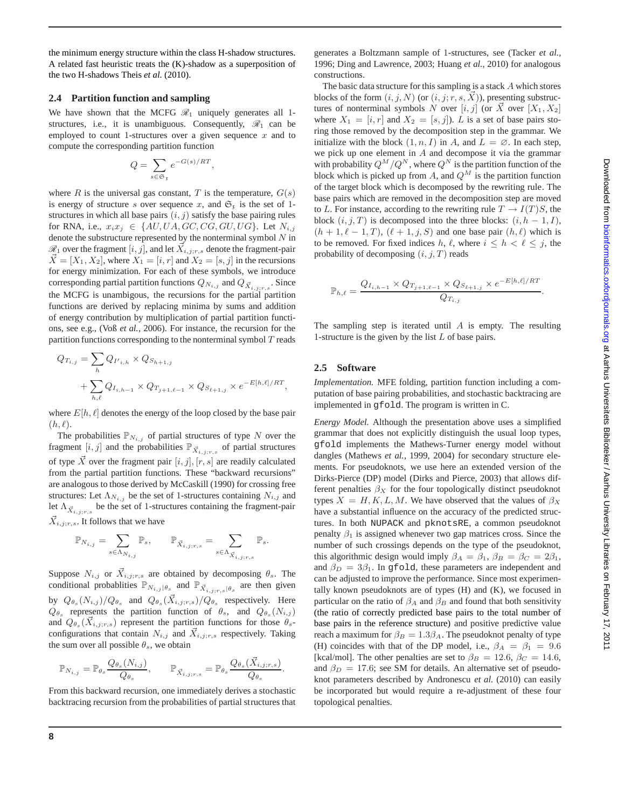the minimum energy structure within the class H-shadow structures. A related fast heuristic treats the (K)-shadow as a superposition of the two H-shadows Theis *et al.* (2010).

## **2.4 Partition function and sampling**

We have shown that the MCFG  $\mathcal{R}_1$  uniquely generates all 1structures, i.e., it is unambiguous. Consequently,  $\mathcal{R}_1$  can be employed to count 1-structures over a given sequence  $x$  and to compute the corresponding partition function

$$
Q = \sum_{s \in \mathfrak{S}_{\mathfrak{x}}} e^{-G(s)/RT}
$$

,

where R is the universal gas constant, T is the temperature,  $G(s)$ is energy of structure s over sequence x, and  $\mathfrak{S}_r$  is the set of 1structures in which all base pairs  $(i, j)$  satisfy the base pairing rules for RNA, i.e.,  $x_i x_j \in \{AU, UA, GC, CG, GU, UG\}$ . Let  $N_{i,j}$ denote the substructure represented by the nonterminal symbol  $N$  in  $\mathcal{R}_1$  over the fragment  $[i, j]$ , and let  $X_{i,j;r,s}$  denote the fragment-pair  $X = [X_1, X_2]$ , where  $X_1 = [i, r]$  and  $X_2 = [s, j]$  in the recursions for energy minimization. For each of these symbols, we introduce corresponding partial partition functions  $Q_{N_{i,j}}$  and  $Q_{\vec{X}_{i,j;r,s}}$ . Since the MCFG is unambigous, the recursions for the partial partition functions are derived by replacing minima by sums and addition of energy contribution by multiplication of partial partition functions, see e.g., (Voß *et al.*, 2006). For instance, the recursion for the partition functions corresponding to the nonterminal symbol  $T$  reads

$$
Q_{T_{i,j}} = \sum_{h} Q_{I',i,h} \times Q_{S_{h+1,j}} + \sum_{h,\ell} Q_{I_{i,h-1}} \times Q_{T_{j+1,\ell-1}} \times Q_{S_{\ell+1,j}} \times e^{-E[h,\ell]/RT},
$$

where  $E[h, \ell]$  denotes the energy of the loop closed by the base pair  $(h, \ell).$ 

The probabilities  $\mathbb{P}_{N_{i,j}}$  of partial structures of type N over the fragment  $[i, j]$  and the probabilities  $\mathbb{P}_{\vec{X}_{i,j;r,s}}$  of partial structures of type  $\overrightarrow{X}$  over the fragment pair  $[i, j]$ ,  $[r, s]$  are readily calculated from the partial partition functions. These "backward recursions" are analogous to those derived by McCaskill (1990) for crossing free structures: Let  $\Lambda_{N_{i,j}}$  be the set of 1-structures containing  $N_{i,j}$  and let  $\Lambda_{\vec{X}_{i,j;r,s}}$  be the set of 1-structures containing the fragment-pair  $\vec{X}_{i,j;r,s}$ . It follows that we have

$$
\mathbb{P}_{N_{i,j}} = \sum_{s \in \Lambda_{N_{i,j}}} \mathbb{P}_s, \qquad \mathbb{P}_{\vec{X}_{i,j;r,s}} = \sum_{s \in \Lambda_{\vec{X}_{i,j;r,s}}} \mathbb{P}_s.
$$

Suppose  $N_{i,j}$  or  $\vec{X}_{i,j;r,s}$  are obtained by decomposing  $\theta_s$ . The conditional probablities  $\mathbb{P}_{N_{i,j}|\theta_s}$  and  $\mathbb{P}_{\vec{X}_{i,j;r,s}|\theta_s}$  are then given by  $Q_{\theta_s}(N_{i,j})/Q_{\theta_s}$  and  $Q_{\theta_s}(\vec{X}_{i,j;r,s})/Q_{\theta_s}$  respectively. Here  $Q_{\theta_s}$  represents the partition function of  $\theta_s$ , and  $Q_{\theta_s}(N_{i,j})$ and  $Q_{\theta_s}(\vec{X}_{i,j;r,s})$  represent the partition functions for those  $\theta_s$ configurations that contain  $N_{i,j}$  and  $\vec{X}_{i,j;r,s}$  respectively. Taking the sum over all possible  $\theta_s$ , we obtain

$$
\mathbb{P}_{N_{i,j}} = \mathbb{P}_{\theta_s} \frac{Q_{\theta_s}(N_{i,j})}{Q_{\theta_s}}, \qquad \mathbb{P}_{\vec{X}_{i,j;r,s}} = \mathbb{P}_{\theta_s} \frac{Q_{\theta_s}(\vec{X}_{i,j;r,s})}{Q_{\theta_s}}.
$$

From this backward recursion, one immediately derives a stochastic backtracing recursion from the probabilities of partial structures that

generates a Boltzmann sample of 1-structures, see (Tacker *et al.*, 1996; Ding and Lawrence, 2003; Huang *et al.*, 2010) for analogous constructions.

The basic data structure for this sampling is a stack A which stores blocks of the form  $(i, j, N)$  (or  $(i, j; r, s, X)$ ), presenting substructures of nonterminal symbols N over  $[i, j]$  (or  $\vec{X}$  over  $[X_1, X_2]$ ) where  $X_1 = [i, r]$  and  $X_2 = [s, j]$ . L is a set of base pairs storing those removed by the decomposition step in the grammar. We initialize with the block  $(1, n, I)$  in A, and  $L = \emptyset$ . In each step, we pick up one element in A and decompose it via the grammar with probability  $Q^M/Q^N$ , where  $Q^N$  is the partition function of the block which is picked up from A, and  $Q^M$  is the partition function of the target block which is decomposed by the rewriting rule. The base pairs which are removed in the decomposition step are moved to L. For instance, according to the rewriting rule  $T \to I(T)S$ , the block  $(i, j, T)$  is decomposed into the three blocks:  $(i, h - 1, I)$ ,  $(h + 1, \ell - 1, T)$ ,  $(\ell + 1, j, S)$  and one base pair  $(h, \ell)$  which is to be removed. For fixed indices h,  $\ell$ , where  $i \leq h \leq \ell \leq j$ , the probability of decomposing  $(i, j, T)$  reads

$$
\mathbb{P}_{h,\ell} = \frac{Q_{I_{i,h-1}} \times Q_{T_{j+1,\ell-1}} \times Q_{S_{\ell+1,j}} \times e^{-E[h,\ell]/RT}}{Q_{T_{i,j}}}.
$$

The sampling step is iterated until  $A$  is empty. The resulting 1-structure is the given by the list  $L$  of base pairs.

#### **2.5 Software**

*Implementation.* MFE folding, partition function including a computation of base pairing probabilities, and stochastic backtracing are implemented in gfold. The program is written in C.

*Energy Model.* Although the presentation above uses a simplified grammar that does not explicitly distinguish the usual loop types, gfold implements the Mathews-Turner energy model without dangles (Mathews *et al.*, 1999, 2004) for secondary structure elements. For pseudoknots, we use here an extended version of the Dirks-Pierce (DP) model (Dirks and Pierce, 2003) that allows different penalties  $\beta_X$  for the four topologically distinct pseudoknot types  $X = H, K, L, M$ . We have observed that the values of  $\beta_X$ have a substantial influence on the accuracy of the predicted structures. In both NUPACK and pknotsRE, a common pseudoknot penalty  $\beta_1$  is assigned whenever two gap matrices cross. Since the number of such crossings depends on the type of the pseudoknot, this algorithmic design would imply  $\beta_A = \beta_1$ ,  $\beta_B = \beta_C = 2\beta_1$ , and  $\beta_D = 3\beta_1$ . In gfold, these parameters are independent and can be adjusted to improve the performance. Since most experimentally known pseudoknots are of types (H) and (K), we focused in particular on the ratio of  $\beta_A$  and  $\beta_B$  and found that both sensitivity (the ratio of correctly predicted base pairs to the total number of base pairs in the reference structure) and positive predictive value reach a maximum for  $\beta_B = 1.3 \beta_A$ . The pseudoknot penalty of type (H) coincides with that of the DP model, i.e.,  $\beta_A = \beta_1 = 9.6$ [kcal/mol]. The other penalties are set to  $\beta_B = 12.6$ ,  $\beta_C = 14.6$ , and  $\beta_D = 17.6$ ; see SM for details. An alternative set of pseudoknot parameters described by Andronescu *et al.* (2010) can easily be incorporated but would require a re-adjustment of these four topological penalties.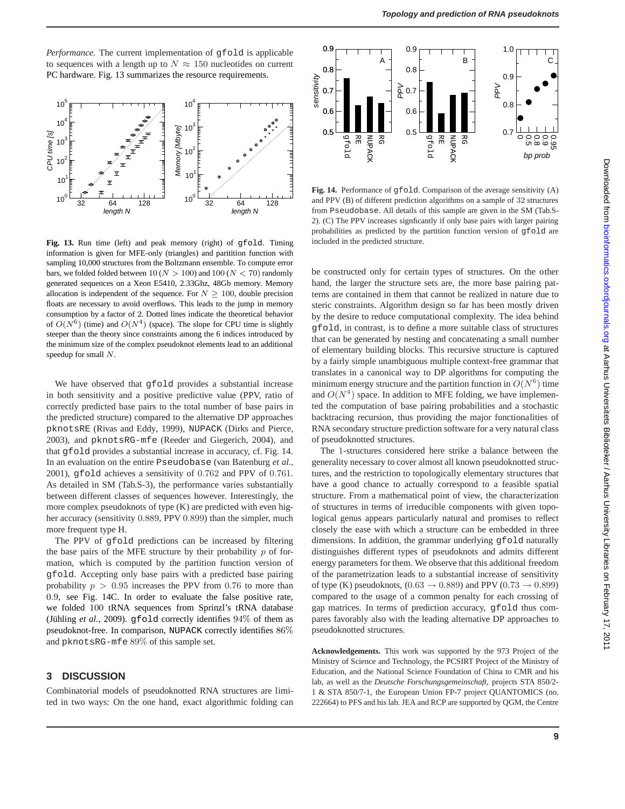*Performance.* The current implementation of gfold is applicable to sequences with a length up to  $N \approx 150$  nucleotides on current PC hardware. Fig. 13 summarizes the resource requirements.



Fig. 13. Run time (left) and peak memory (right) of gfold. Timing information is given for MFE-only (triangles) and paritition function with sampling 10,000 structures from the Boltzmann ensemble. To compute error bars, we folded folded between 10 ( $N > 100$ ) and 100 ( $N < 70$ ) randomly generated sequences on a Xeon E5410, 2.33Ghz, 48Gb memory. Memory allocation is independent of the sequence. For  $N > 100$ , double precision floats are necessary to avoid overflows. This leads to the jump in memory consumption by a factor of 2. Dotted lines indicate the theoretical behavior of  $O(N^6)$  (time) and  $O(N^4)$  (space). The slope for CPU time is slightly steeper than the theory since constraints among the 6 indices introduced by the minimum size of the complex pseudoknot elements lead to an additional speedup for small N.

We have observed that gfold provides a substantial increase in both sensitivity and a positive predictive value (PPV, ratio of correctly predicted base pairs to the total number of base pairs in the predicted structure) compared to the alternative DP approaches pknotsRE (Rivas and Eddy, 1999), NUPACK (Dirks and Pierce, 2003), and pknotsRG-mfe (Reeder and Giegerich, 2004), and that gfold provides a substantial increase in accuracy, cf. Fig. 14. In an evaluation on the entire Pseudobase (van Batenburg *et al.*, 2001), gfold achieves a sensitivity of 0.762 and PPV of 0.761. As detailed in SM (Tab.S-3), the performance varies substantially between different classes of sequences however. Interestingly, the more complex pseudoknots of type (K) are predicted with even higher accuracy (sensitivity 0.889, PPV 0.899) than the simpler, much more frequent type H.

The PPV of gfold predictions can be increased by filtering the base pairs of the MFE structure by their probability  $p$  of formation, which is computed by the partition function version of gfold. Accepting only base pairs with a predicted base pairing probability  $p > 0.95$  increases the PPV from 0.76 to more than 0.9, see Fig. 14C. In order to evaluate the false positive rate, we folded 100 tRNA sequences from Sprinzl's tRNA database (Jühling *et al.*, 2009). gfold correctly identifies  $94\%$  of them as pseudoknot-free. In comparison, NUPACK correctly identifies 86% and pknotsRG-mfe 89% of this sample set.

## **3 DISCUSSION**

Combinatorial models of pseudoknotted RNA structures are limited in two ways: On the one hand, exact algorithmic folding can



Fig. 14. Performance of gfold. Comparison of the average sensitivity (A) and PPV (B) of different prediction algorithms on a sample of 32 structures from Pseudobase. All details of this sample are given in the SM (Tab.S-2). (C) The PPV increases signficantly if only base pairs with larger pairing probabilities as predicted by the partition function version of gfold are included in the predicted structure.

be constructed only for certain types of structures. On the other hand, the larger the structure sets are, the more base pairing patterns are contained in them that cannot be realized in nature due to steric constraints. Algorithm design so far has been mostly driven by the desire to reduce computational complexity. The idea behind gfold, in contrast, is to define a more suitable class of structures that can be generated by nesting and concatenating a small number of elementary building blocks. This recursive structure is captured by a fairly simple unambiguous multiple context-free grammar that translates in a canonical way to DP algorithms for computing the minimum energy structure and the partition function in  $O(N^6)$  time and  $O(N^4)$  space. In addition to MFE folding, we have implemented the computation of base pairing probabilities and a stochastic backtracing recursion, thus providing the major functionalities of RNA secondary structure prediction software for a very natural class of pseudoknotted structures.

The 1-structures considered here strike a balance between the generality necessary to cover almost all known pseudoknotted structures, and the restriction to topologically elementary structures that have a good chance to actually correspond to a feasible spatial structure. From a mathematical point of view, the characterization of structures in terms of irreducible components with given topological genus appears particularly natural and promises to reflect closely the ease with which a structure can be embedded in three dimensions. In addition, the grammar underlying gfold naturally distinguishes different types of pseudoknots and admits different energy parameters for them. We observe that this additional freedom of the parametrization leads to a substantial increase of sensitivity of type (K) pseudoknots,  $(0.63 \rightarrow 0.889)$  and PPV  $(0.73 \rightarrow 0.899)$ compared to the usage of a common penalty for each crossing of gap matrices. In terms of prediction accuracy, gfold thus compares favorably also with the leading alternative DP approaches to pseudoknotted structures.

**Acknowledgements.** This work was supported by the 973 Project of the Ministry of Science and Technology, the PCSIRT Project of the Ministry of Education, and the National Science Foundation of China to CMR and his lab, as well as the *Deutsche Forschungsgemeinschaft*, projects STA 850/2- 1 & STA 850/7-1, the European Union FP-7 project QUANTOMICS (no. 222664) to PFS and his lab. JEA and RCP are supported by QGM, the Centre